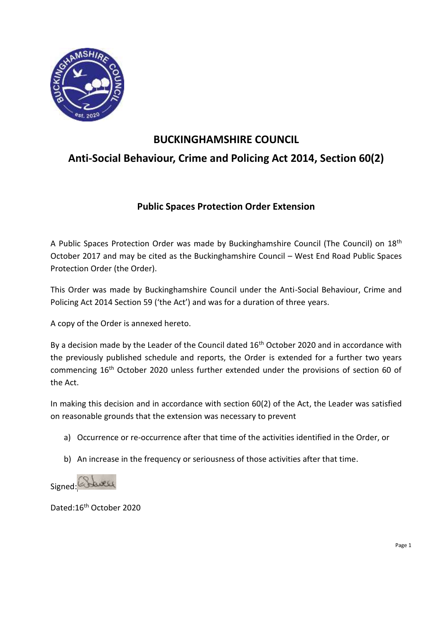

# **BUCKINGHAMSHIRE COUNCIL Anti-Social Behaviour, Crime and Policing Act 2014, Section 60(2)**

## **Public Spaces Protection Order Extension**

A Public Spaces Protection Order was made by Buckinghamshire Council (The Council) on 18th October 2017 and may be cited as the Buckinghamshire Council – West End Road Public Spaces Protection Order (the Order).

This Order was made by Buckinghamshire Council under the Anti-Social Behaviour, Crime and Policing Act 2014 Section 59 ('the Act') and was for a duration of three years.

A copy of the Order is annexed hereto.

By a decision made by the Leader of the Council dated  $16<sup>th</sup>$  October 2020 and in accordance with the previously published schedule and reports, the Order is extended for a further two years commencing 16th October 2020 unless further extended under the provisions of section 60 of the Act.

In making this decision and in accordance with section 60(2) of the Act, the Leader was satisfied on reasonable grounds that the extension was necessary to prevent

- a) Occurrence or re-occurrence after that time of the activities identified in the Order, or
- b) An increase in the frequency or seriousness of those activities after that time.



Dated:16th October 2020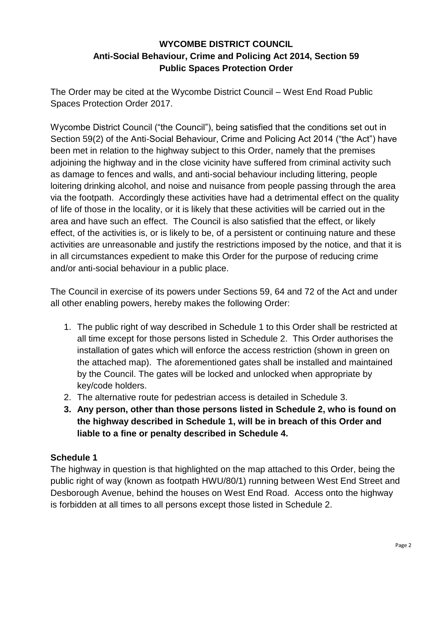## **WYCOMBE DISTRICT COUNCIL Anti-Social Behaviour, Crime and Policing Act 2014, Section 59 Public Spaces Protection Order**

The Order may be cited at the Wycombe District Council – West End Road Public Spaces Protection Order 2017.

Wycombe District Council ("the Council"), being satisfied that the conditions set out in Section 59(2) of the Anti-Social Behaviour, Crime and Policing Act 2014 ("the Act") have been met in relation to the highway subject to this Order, namely that the premises adjoining the highway and in the close vicinity have suffered from criminal activity such as damage to fences and walls, and anti-social behaviour including littering, people loitering drinking alcohol, and noise and nuisance from people passing through the area via the footpath. Accordingly these activities have had a detrimental effect on the quality of life of those in the locality, or it is likely that these activities will be carried out in the area and have such an effect. The Council is also satisfied that the effect, or likely effect, of the activities is, or is likely to be, of a persistent or continuing nature and these activities are unreasonable and justify the restrictions imposed by the notice, and that it is in all circumstances expedient to make this Order for the purpose of reducing crime and/or anti-social behaviour in a public place.

The Council in exercise of its powers under Sections 59, 64 and 72 of the Act and under all other enabling powers, hereby makes the following Order:

- 1. The public right of way described in Schedule 1 to this Order shall be restricted at all time except for those persons listed in Schedule 2. This Order authorises the installation of gates which will enforce the access restriction (shown in green on the attached map). The aforementioned gates shall be installed and maintained by the Council. The gates will be locked and unlocked when appropriate by key/code holders.
- 2. The alternative route for pedestrian access is detailed in Schedule 3.
- **3. Any person, other than those persons listed in Schedule 2, who is found on the highway described in Schedule 1, will be in breach of this Order and liable to a fine or penalty described in Schedule 4.**

### **Schedule 1**

The highway in question is that highlighted on the map attached to this Order, being the public right of way (known as footpath HWU/80/1) running between West End Street and Desborough Avenue, behind the houses on West End Road. Access onto the highway is forbidden at all times to all persons except those listed in Schedule 2.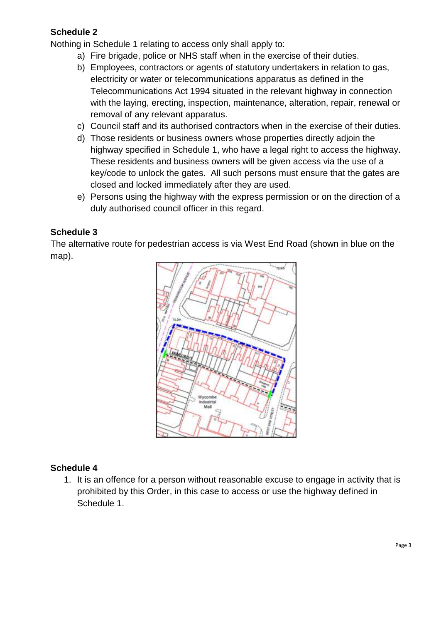### **Schedule 2**

Nothing in Schedule 1 relating to access only shall apply to:

- a) Fire brigade, police or NHS staff when in the exercise of their duties.
- b) Employees, contractors or agents of statutory undertakers in relation to gas, electricity or water or telecommunications apparatus as defined in the Telecommunications Act 1994 situated in the relevant highway in connection with the laying, erecting, inspection, maintenance, alteration, repair, renewal or removal of any relevant apparatus.
- c) Council staff and its authorised contractors when in the exercise of their duties.
- d) Those residents or business owners whose properties directly adjoin the highway specified in Schedule 1, who have a legal right to access the highway. These residents and business owners will be given access via the use of a key/code to unlock the gates. All such persons must ensure that the gates are closed and locked immediately after they are used.
- e) Persons using the highway with the express permission or on the direction of a duly authorised council officer in this regard.

#### **Schedule 3**

The alternative route for pedestrian access is via West End Road (shown in blue on the map).



#### **Schedule 4**

1. It is an offence for a person without reasonable excuse to engage in activity that is prohibited by this Order, in this case to access or use the highway defined in Schedule 1.